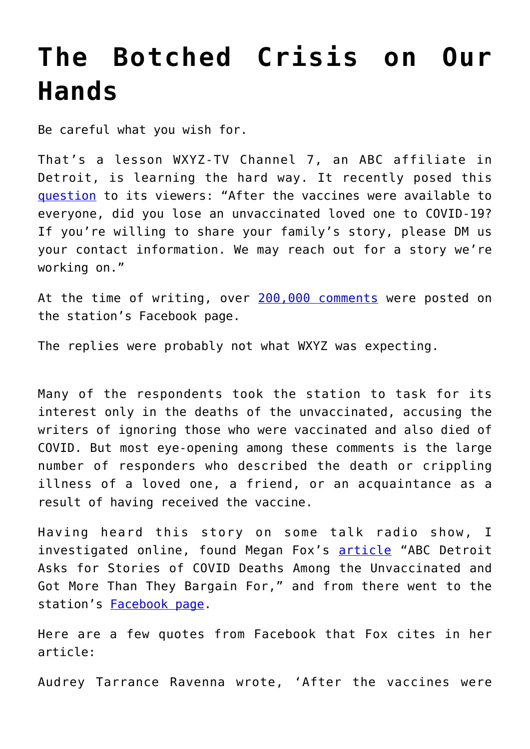## **[The Botched Crisis on Our](https://intellectualtakeout.org/2021/09/the-botched-crisis-on-our-hands/) [Hands](https://intellectualtakeout.org/2021/09/the-botched-crisis-on-our-hands/)**

Be careful what you wish for.

That's a lesson WXYZ-TV Channel 7, an ABC affiliate in Detroit, is learning the hard way. It recently posed this [question](https://m.facebook.com/wxyzdetroit/photos/a.461583946134/10158207966696135/?type=3&source=48) to its viewers: "After the vaccines were available to everyone, did you lose an unvaccinated loved one to COVID-19? If you're willing to share your family's story, please DM us your contact information. We may reach out for a story we're working on."

At the time of writing, over [200,000 comments](https://www.americanthinker.com/blog/2021/09/detroit_tv_station_asks_for_stories_of_unvaxed_covid_deaths_gets_overwhelming_response_on_deaths_and_injuries_emfromem_the_vaccines.html) were posted on the station's Facebook page.

The replies were probably not what WXYZ was expecting.

Many of the respondents took the station to task for its interest only in the deaths of the unvaccinated, accusing the writers of ignoring those who were vaccinated and also died of COVID. But most eye-opening among these comments is the large number of responders who described the death or crippling illness of a loved one, a friend, or an acquaintance as a result of having received the vaccine.

Having heard this story on some talk radio show, I investigated online, found Megan Fox's [article](https://pjmedia.com/news-and-politics/megan-fox/2021/09/14/abc-detroit-asks-for-stories-of-covid-deaths-among-the-unvaccinated-gets-wrecked-with-thousands-of-vaccine-injury-reports-n1478608) "ABC Detroit Asks for Stories of COVID Deaths Among the Unvaccinated and Got More Than They Bargain For," and from there went to the station's [Facebook page](https://m.facebook.com/wxyzdetroit/photos/a.461583946134/10158207966696135/?type=3&source=48).

Here are a few quotes from Facebook that Fox cites in her article:

Audrey Tarrance Ravenna wrote, 'After the vaccines were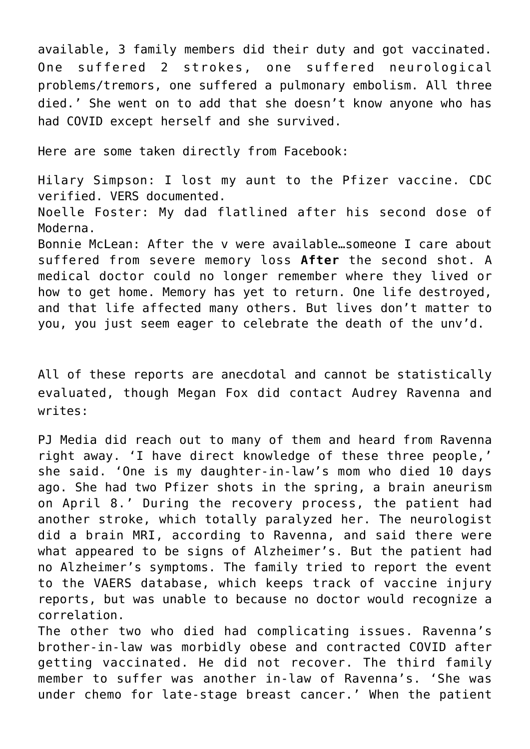available, 3 family members did their duty and got vaccinated. One suffered 2 strokes, one suffered neurological problems/tremors, one suffered a pulmonary embolism. All three died.' She went on to add that she doesn't know anyone who has had COVID except herself and she survived.

Here are some taken directly from Facebook:

Hilary Simpson: I lost my aunt to the Pfizer vaccine. CDC verified. VERS documented.

Noelle Foster: My dad flatlined after his second dose of Moderna.

Bonnie McLean: After the v were available…someone I care about suffered from severe memory loss **After** the second shot. A medical doctor could no longer remember where they lived or how to get home. Memory has yet to return. One life destroyed, and that life affected many others. But lives don't matter to you, you just seem eager to celebrate the death of the unv'd.

All of these reports are anecdotal and cannot be statistically evaluated, though Megan Fox did contact Audrey Ravenna and writes:

PJ Media did reach out to many of them and heard from Ravenna right away. 'I have direct knowledge of these three people,' she said. 'One is my daughter-in-law's mom who died 10 days ago. She had two Pfizer shots in the spring, a brain aneurism on April 8.' During the recovery process, the patient had another stroke, which totally paralyzed her. The neurologist did a brain MRI, according to Ravenna, and said there were what appeared to be signs of Alzheimer's. But the patient had no Alzheimer's symptoms. The family tried to report the event to the VAERS database, which keeps track of vaccine injury reports, but was unable to because no doctor would recognize a correlation.

The other two who died had complicating issues. Ravenna's brother-in-law was morbidly obese and contracted COVID after getting vaccinated. He did not recover. The third family member to suffer was another in-law of Ravenna's. 'She was under chemo for late-stage breast cancer.' When the patient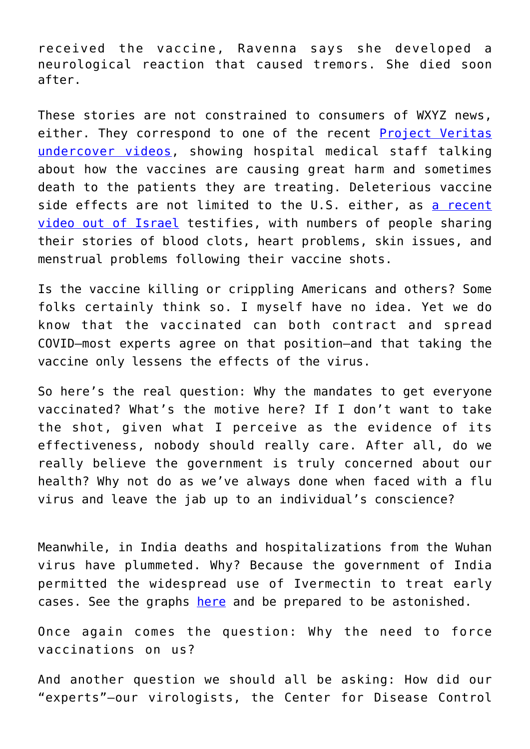received the vaccine, Ravenna says she developed a neurological reaction that caused tremors. She died soon after.

These stories are not constrained to consumers of WXYZ news, either. They correspond to one of the recent [Project Veritas](https://www.projectveritas.com/news/federal-govt-whistleblower-goes-public-with-secret-recordings-government/) [undercover videos,](https://www.projectveritas.com/news/federal-govt-whistleblower-goes-public-with-secret-recordings-government/) showing hospital medical staff talking about how the vaccines are causing great harm and sometimes death to the patients they are treating. Deleterious vaccine side effects are not limited to the U.S. either, as [a recent](https://rumble.com/vmpbh3-38132823.html) [video out of Israel](https://rumble.com/vmpbh3-38132823.html) testifies, with numbers of people sharing their stories of blood clots, heart problems, skin issues, and menstrual problems following their vaccine shots.

Is the vaccine killing or crippling Americans and others? Some folks certainly think so. I myself have no idea. Yet we do know that the vaccinated can both contract and spread COVID—most experts agree on that position—and that taking the vaccine only lessens the effects of the virus.

So here's the real question: Why the mandates to get everyone vaccinated? What's the motive here? If I don't want to take the shot, given what I perceive as the evidence of its effectiveness, nobody should really care. After all, do we really believe the government is truly concerned about our health? Why not do as we've always done when faced with a flu virus and leave the jab up to an individual's conscience?

Meanwhile, in India deaths and hospitalizations from the Wuhan virus have plummeted. Why? Because the government of India permitted the widespread use of Ivermectin to treat early cases. See the graphs [here](https://covid19criticalcare.com/ivermectin-in-covid-19/epidemiologic-analyses-on-covid19-and-ivermectin/) and be prepared to be astonished.

Once again comes the question: Why the need to force vaccinations on us?

And another question we should all be asking: How did our "experts"—our virologists, the Center for Disease Control